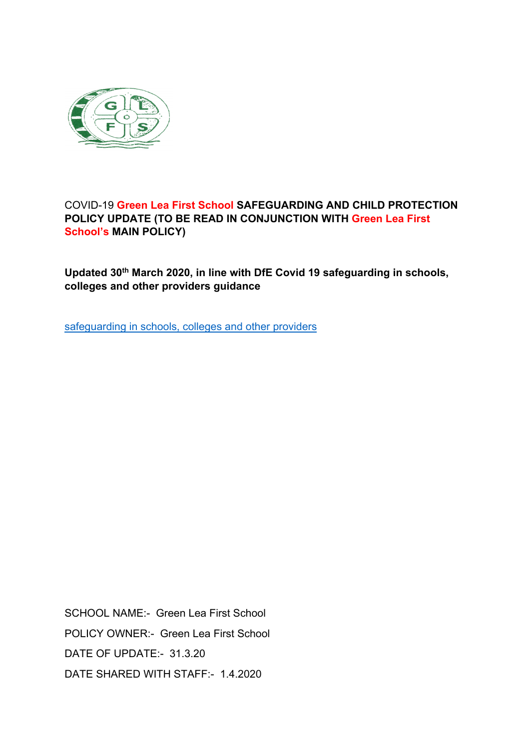

# COVID-19 **Green Lea First School SAFEGUARDING AND CHILD PROTECTION POLICY UPDATE (TO BE READ IN CONJUNCTION WITH Green Lea First School's MAIN POLICY)**

**Updated 30th March 2020, in line with DfE Covid 19 safeguarding in schools, colleges and other providers guidance**

safeguarding in schools, colleges and other providers

SCHOOL NAME:- Green Lea First School POLICY OWNER:- Green Lea First School DATE OF UPDATE:- 31.3.20 DATE SHARED WITH STAFF:- 1.4.2020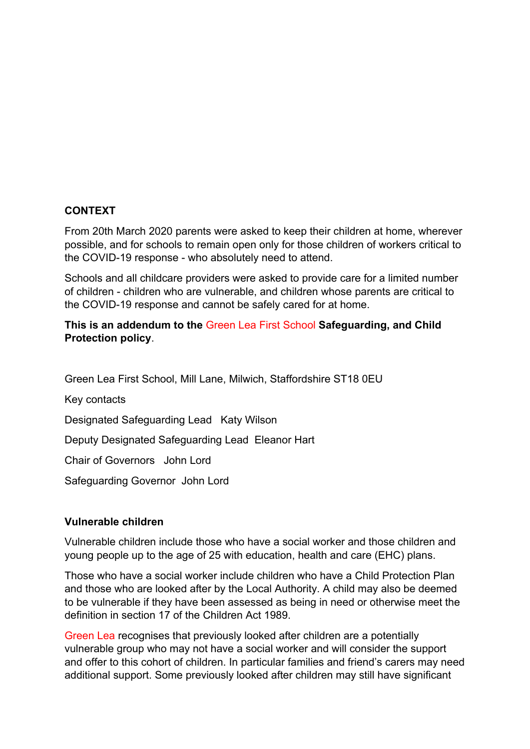## **CONTEXT**

From 20th March 2020 parents were asked to keep their children at home, wherever possible, and for schools to remain open only for those children of workers critical to the COVID-19 response - who absolutely need to attend.

Schools and all childcare providers were asked to provide care for a limited number of children - children who are vulnerable, and children whose parents are critical to the COVID-19 response and cannot be safely cared for at home.

## **This is an addendum to the** Green Lea First School **Safeguarding, and Child Protection policy**.

Green Lea First School, Mill Lane, Milwich, Staffordshire ST18 0EU

Key contacts

Designated Safeguarding Lead Katy Wilson

Deputy Designated Safeguarding Lead Eleanor Hart

Chair of Governors John Lord

Safeguarding Governor John Lord

## **Vulnerable children**

Vulnerable children include those who have a social worker and those children and young people up to the age of 25 with education, health and care (EHC) plans.

Those who have a social worker include children who have a Child Protection Plan and those who are looked after by the Local Authority. A child may also be deemed to be vulnerable if they have been assessed as being in need or otherwise meet the definition in section 17 of the Children Act 1989.

Green Lea recognises that previously looked after children are a potentially vulnerable group who may not have a social worker and will consider the support and offer to this cohort of children. In particular families and friend's carers may need additional support. Some previously looked after children may still have significant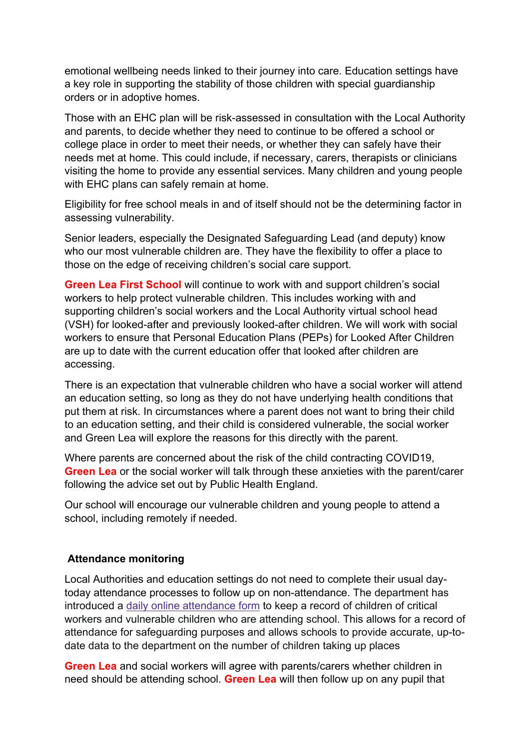emotional wellbeing needs linked to their journey into care. Education settings have a key role in supporting the stability of those children with special guardianship orders or in adoptive homes.

Those with an EHC plan will be risk-assessed in consultation with the Local Authority and parents, to decide whether they need to continue to be offered a school or college place in order to meet their needs, or whether they can safely have their needs met at home. This could include, if necessary, carers, therapists or clinicians visiting the home to provide any essential services. Many children and young people with EHC plans can safely remain at home.

Eligibility for free school meals in and of itself should not be the determining factor in assessing vulnerability.

Senior leaders, especially the Designated Safeguarding Lead (and deputy) know who our most vulnerable children are. They have the flexibility to offer a place to those on the edge of receiving children's social care support.

**Green Lea First School** will continue to work with and support children's social workers to help protect vulnerable children. This includes working with and supporting children's social workers and the Local Authority virtual school head (VSH) for looked-after and previously looked-after children. We will work with social workers to ensure that Personal Education Plans (PEPs) for Looked After Children are up to date with the current education offer that looked after children are accessing.

There is an expectation that vulnerable children who have a social worker will attend an education setting, so long as they do not have underlying health conditions that put them at risk. In circumstances where a parent does not want to bring their child to an education setting, and their child is considered vulnerable, the social worker and Green Lea will explore the reasons for this directly with the parent.

Where parents are concerned about the risk of the child contracting COVID19, **Green Lea** or the social worker will talk through these anxieties with the parent/carer following the advice set out by Public Health England.

Our school will encourage our vulnerable children and young people to attend a school, including remotely if needed.

## **Attendance monitoring**

Local Authorities and education settings do not need to complete their usual daytoday attendance processes to follow up on non-attendance. The department has introduced a daily online attendance form to keep a record of children of critical workers and vulnerable children who are attending school. This allows for a record of attendance for safeguarding purposes and allows schools to provide accurate, up-todate data to the department on the number of children taking up places

**Green Lea** and social workers will agree with parents/carers whether children in need should be attending school. **Green Lea** will then follow up on any pupil that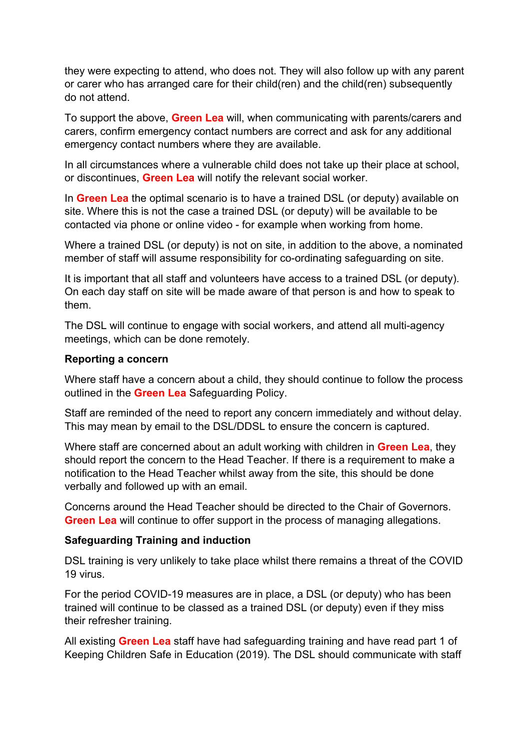they were expecting to attend, who does not. They will also follow up with any parent or carer who has arranged care for their child(ren) and the child(ren) subsequently do not attend.

To support the above, **Green Lea** will, when communicating with parents/carers and carers, confirm emergency contact numbers are correct and ask for any additional emergency contact numbers where they are available.

In all circumstances where a vulnerable child does not take up their place at school, or discontinues, **Green Lea** will notify the relevant social worker.

In **Green Lea** the optimal scenario is to have a trained DSL (or deputy) available on site. Where this is not the case a trained DSL (or deputy) will be available to be contacted via phone or online video - for example when working from home.

Where a trained DSL (or deputy) is not on site, in addition to the above, a nominated member of staff will assume responsibility for co-ordinating safeguarding on site.

It is important that all staff and volunteers have access to a trained DSL (or deputy). On each day staff on site will be made aware of that person is and how to speak to them.

The DSL will continue to engage with social workers, and attend all multi-agency meetings, which can be done remotely.

#### **Reporting a concern**

Where staff have a concern about a child, they should continue to follow the process outlined in the **Green Lea** Safeguarding Policy.

Staff are reminded of the need to report any concern immediately and without delay. This may mean by email to the DSL/DDSL to ensure the concern is captured.

Where staff are concerned about an adult working with children in **Green Lea**, they should report the concern to the Head Teacher. If there is a requirement to make a notification to the Head Teacher whilst away from the site, this should be done verbally and followed up with an email.

Concerns around the Head Teacher should be directed to the Chair of Governors. **Green Lea** will continue to offer support in the process of managing allegations.

## **Safeguarding Training and induction**

DSL training is very unlikely to take place whilst there remains a threat of the COVID 19 virus.

For the period COVID-19 measures are in place, a DSL (or deputy) who has been trained will continue to be classed as a trained DSL (or deputy) even if they miss their refresher training.

All existing **Green Lea** staff have had safeguarding training and have read part 1 of Keeping Children Safe in Education (2019). The DSL should communicate with staff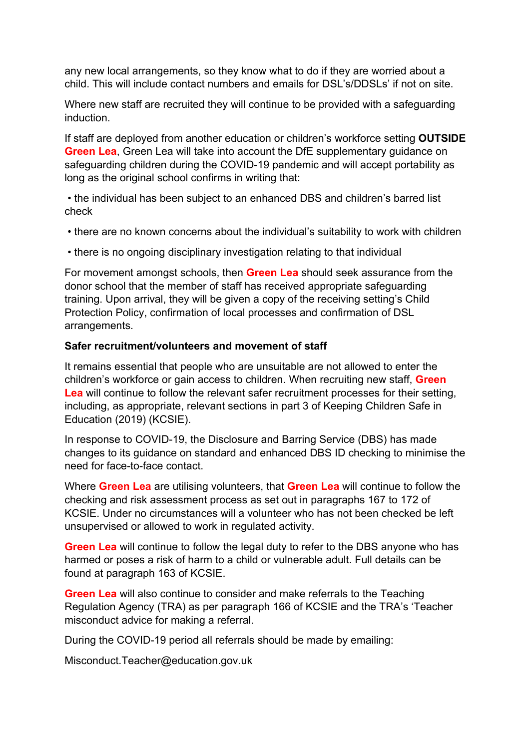any new local arrangements, so they know what to do if they are worried about a child. This will include contact numbers and emails for DSL's/DDSLs' if not on site.

Where new staff are recruited they will continue to be provided with a safeguarding induction.

If staff are deployed from another education or children's workforce setting **OUTSIDE Green Lea**, Green Lea will take into account the DfE supplementary quidance on safeguarding children during the COVID-19 pandemic and will accept portability as long as the original school confirms in writing that:

• the individual has been subject to an enhanced DBS and children's barred list check

- there are no known concerns about the individual's suitability to work with children
- there is no ongoing disciplinary investigation relating to that individual

For movement amongst schools, then **Green Lea** should seek assurance from the donor school that the member of staff has received appropriate safeguarding training. Upon arrival, they will be given a copy of the receiving setting's Child Protection Policy, confirmation of local processes and confirmation of DSL arrangements.

#### **Safer recruitment/volunteers and movement of staff**

It remains essential that people who are unsuitable are not allowed to enter the children's workforce or gain access to children. When recruiting new staff, **Green Lea** will continue to follow the relevant safer recruitment processes for their setting, including, as appropriate, relevant sections in part 3 of Keeping Children Safe in Education (2019) (KCSIE).

In response to COVID-19, the Disclosure and Barring Service (DBS) has made changes to its guidance on standard and enhanced DBS ID checking to minimise the need for face-to-face contact.

Where **Green Lea** are utilising volunteers, that **Green Lea** will continue to follow the checking and risk assessment process as set out in paragraphs 167 to 172 of KCSIE. Under no circumstances will a volunteer who has not been checked be left unsupervised or allowed to work in regulated activity.

**Green Lea** will continue to follow the legal duty to refer to the DBS anyone who has harmed or poses a risk of harm to a child or vulnerable adult. Full details can be found at paragraph 163 of KCSIE.

**Green Lea** will also continue to consider and make referrals to the Teaching Regulation Agency (TRA) as per paragraph 166 of KCSIE and the TRA's 'Teacher misconduct advice for making a referral.

During the COVID-19 period all referrals should be made by emailing:

Misconduct.Teacher@education.gov.uk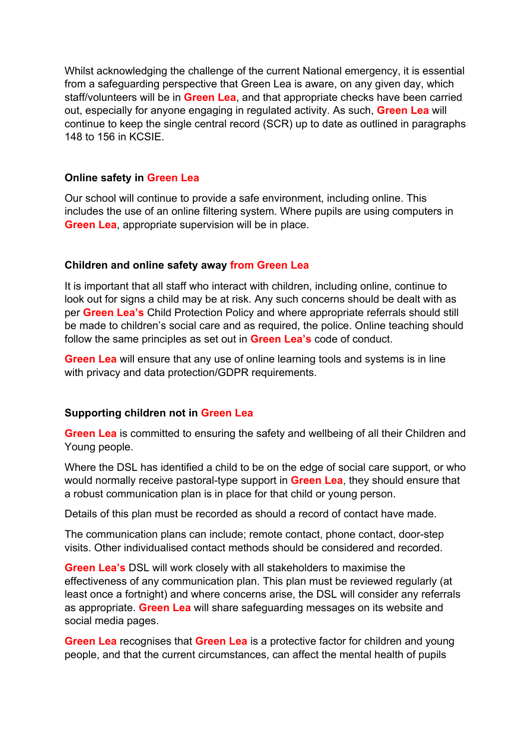Whilst acknowledging the challenge of the current National emergency, it is essential from a safeguarding perspective that Green Lea is aware, on any given day, which staff/volunteers will be in **Green Lea**, and that appropriate checks have been carried out, especially for anyone engaging in regulated activity. As such, **Green Lea** will continue to keep the single central record (SCR) up to date as outlined in paragraphs 148 to 156 in KCSIE.

## **Online safety in Green Lea**

Our school will continue to provide a safe environment, including online. This includes the use of an online filtering system. Where pupils are using computers in **Green Lea**, appropriate supervision will be in place.

#### **Children and online safety away from Green Lea**

It is important that all staff who interact with children, including online, continue to look out for signs a child may be at risk. Any such concerns should be dealt with as per **Green Lea's** Child Protection Policy and where appropriate referrals should still be made to children's social care and as required, the police. Online teaching should follow the same principles as set out in **Green Lea's** code of conduct.

**Green Lea** will ensure that any use of online learning tools and systems is in line with privacy and data protection/GDPR requirements.

## **Supporting children not in Green Lea**

**Green Lea** is committed to ensuring the safety and wellbeing of all their Children and Young people.

Where the DSL has identified a child to be on the edge of social care support, or who would normally receive pastoral-type support in **Green Lea**, they should ensure that a robust communication plan is in place for that child or young person.

Details of this plan must be recorded as should a record of contact have made.

The communication plans can include; remote contact, phone contact, door-step visits. Other individualised contact methods should be considered and recorded.

**Green Lea's** DSL will work closely with all stakeholders to maximise the effectiveness of any communication plan. This plan must be reviewed regularly (at least once a fortnight) and where concerns arise, the DSL will consider any referrals as appropriate. **Green Lea** will share safeguarding messages on its website and social media pages.

**Green Lea** recognises that **Green Lea** is a protective factor for children and young people, and that the current circumstances, can affect the mental health of pupils